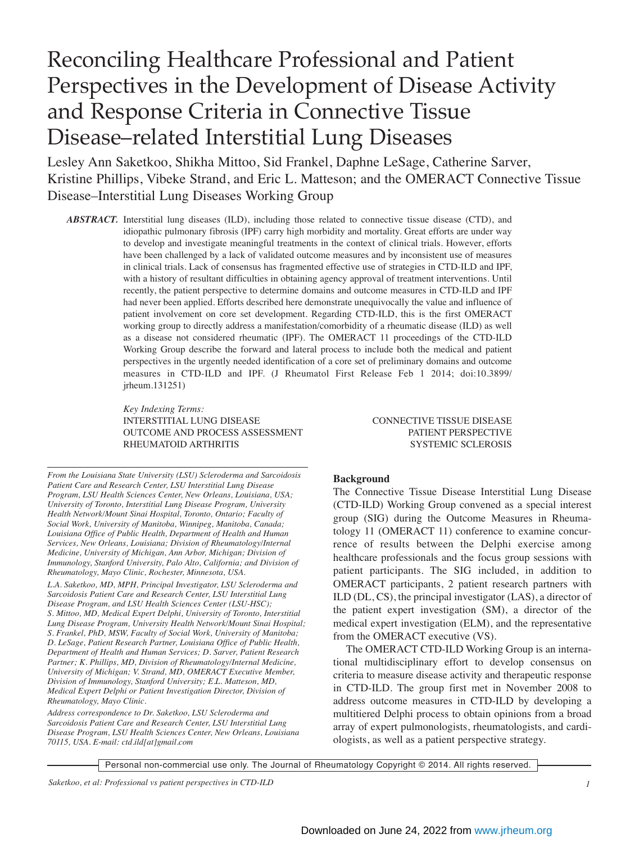# Reconciling Healthcare Professional and Patient Perspectives in the Development of Disease Activity and Response Criteria in Connective Tissue Disease–related Interstitial Lung Diseases

Lesley Ann Saketkoo, Shikha Mittoo, Sid Frankel, Daphne LeSage, Catherine Sarver, Kristine Phillips, Vibeke Strand, and Eric L. Matteson; and the OMERACT Connective Tissue Disease–Interstitial Lung Diseases Working Group

*ABSTRACT.* Interstitial lung diseases (ILD), including those related to connective tissue disease (CTD), and idiopathic pulmonary fibrosis (IPF) carry high morbidity and mortality. Great efforts are under way to develop and investigate meaningful treatments in the context of clinical trials. However, efforts have been challenged by a lack of validated outcome measures and by inconsistent use of measures in clinical trials. Lack of consensus has fragmented effective use of strategies in CTD-ILD and IPF, with a history of resultant difficulties in obtaining agency approval of treatment interventions. Until recently, the patient perspective to determine domains and outcome measures in CTD-ILD and IPF had never been applied. Efforts described here demonstrate unequivocally the value and influence of patient involvement on core set development. Regarding CTD-ILD, this is the first OMERACT working group to directly address a manifestation/comorbidity of a rheumatic disease (ILD) as well as a disease not considered rheumatic (IPF). The OMERACT 11 proceedings of the CTD-ILD Working Group describe the forward and lateral process to include both the medical and patient perspectives in the urgently needed identification of a core set of preliminary domains and outcome measures in CTD-ILD and IPF. (J Rheumatol First Release Feb 1 2014; doi:10.3899/ jrheum.131251)

> *Key Indexing Terms:* INTERSTITIAL LUNG DISEASE CONNECTIVE TISSUE DISEASE OUTCOME AND PROCESS ASSESSMENT PATIENT PERSPECTIVE RHEUMATOID ARTHRITIS SYSTEMIC SCLEROSIS

*From the Louisiana State University (LSU) Scleroderma and Sarcoidosis Patient Care and Research Center, LSU Interstitial Lung Disease Program, LSU Health Sciences Center, New Orleans, Louisiana, USA; University of Toronto, Interstitial Lung Disease Program, University Health Network/Mount Sinai Hospital, Toronto, Ontario; Faculty of Social Work, University of Manitoba, Winnipeg, Manitoba, Canada; Louisiana Office of Public Health, Department of Health and Human Services, New Orleans, Louisiana; Division of Rheumatology/Internal Medicine, University of Michigan, Ann Arbor, Michigan; Division of Immunology, Stanford University, Palo Alto, California; and Division of Rheumatology, Mayo Clinic, Rochester, Minnesota, USA.* 

*L.A. Saketkoo, MD, MPH, Principal Investigator, LSU Scleroderma and Sarcoidosis Patient Care and Research Center, LSU Interstitial Lung Disease Program, and LSU Health Sciences Center (LSU-HSC); S. Mittoo, MD, Medical Expert Delphi, University of Toronto, Interstitial Lung Disease Program, University Health Network/Mount Sinai Hospital; S. Frankel, PhD, MSW, Faculty of Social Work, University of Manitoba; D. LeSage, Patient Research Partner, Louisiana Office of Public Health, Department of Health and Human Services; D. Sarver, Patient Research Partner; K. Phillips, MD, Division of Rheumatology/Internal Medicine, University of Michigan; V. Strand, MD, OMERACT Executive Member, Division of Immunology, Stanford University; E.L. Matteson, MD, Medical Expert Delphi or Patient Investigation Director, Division of Rheumatology, Mayo Clinic.*

*Address correspondence to Dr. Saketkoo, LSU Scleroderma and Sarcoidosis Patient Care and Research Center, LSU Interstitial Lung Disease Program, LSU Health Sciences Center, New Orleans, Louisiana 70115, USA. E-mail: ctd.ild[at]gmail.com*

#### **Background**

The Connective Tissue Disease Interstitial Lung Disease (CTD-ILD) Working Group convened as a special interest group (SIG) during the Outcome Measures in Rheumatology 11 (OMERACT 11) conference to examine concurrence of results between the Delphi exercise among healthcare professionals and the focus group sessions with patient participants. The SIG included, in addition to OMERACT participants, 2 patient research partners with ILD (DL, CS), the principal investigator (LAS), a director of the patient expert investigation (SM), a director of the medical expert investigation (ELM), and the representative from the OMERACT executive (VS).

The OMERACT CTD-ILD Working Group is an international multidisciplinary effort to develop consensus on criteria to measure disease activity and therapeutic response in CTD-ILD. The group first met in November 2008 to address outcome measures in CTD-ILD by developing a multitiered Delphi process to obtain opinions from a broad array of expert pulmonologists, rheumatologists, and cardiologists, as well as a patient perspective strategy.

Personal non-commercial use only. The Journal of Rheumatology Copyright © 2014. All rights reserved.

*Saketkoo, et al: Professional vs patient perspectives in CTD-ILD 1*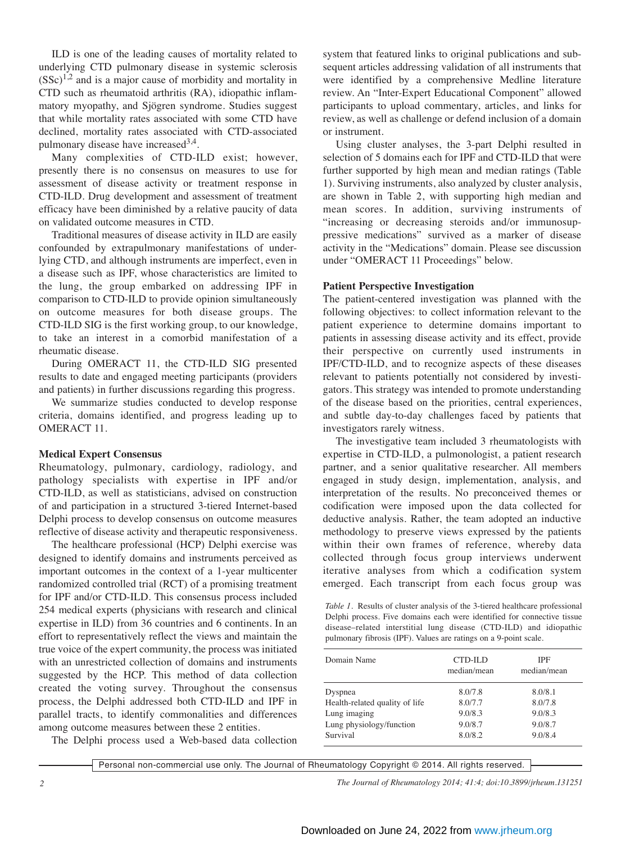ILD is one of the leading causes of mortality related to underlying CTD pulmonary disease in systemic sclerosis  $(SSc)^{1,2}$  and is a major cause of morbidity and mortality in CTD such as rheumatoid arthritis (RA), idiopathic inflammatory myopathy, and Sjögren syndrome. Studies suggest that while mortality rates associated with some CTD have declined, mortality rates associated with CTD-associated pulmonary disease have increased  $3,4$ .

Many complexities of CTD-ILD exist; however, presently there is no consensus on measures to use for assessment of disease activity or treatment response in CTD-ILD. Drug development and assessment of treatment efficacy have been diminished by a relative paucity of data on validated outcome measures in CTD.

Traditional measures of disease activity in ILD are easily confounded by extrapulmonary manifestations of underlying CTD, and although instruments are imperfect, even in a disease such as IPF, whose characteristics are limited to the lung, the group embarked on addressing IPF in comparison to CTD-ILD to provide opinion simultaneously on outcome measures for both disease groups. The CTD-ILD SIG is the first working group, to our knowledge, to take an interest in a comorbid manifestation of a rheumatic disease.

During OMERACT 11, the CTD-ILD SIG presented results to date and engaged meeting participants (providers and patients) in further discussions regarding this progress.

We summarize studies conducted to develop response criteria, domains identified, and progress leading up to OMERACT 11.

# **Medical Expert Consensus**

Rheumatology, pulmonary, cardiology, radiology, and pathology specialists with expertise in IPF and/or CTD-ILD, as well as statisticians, advised on construction of and participation in a structured 3-tiered Internet-based Delphi process to develop consensus on outcome measures reflective of disease activity and therapeutic responsiveness.

The healthcare professional (HCP) Delphi exercise was designed to identify domains and instruments perceived as important outcomes in the context of a 1-year multicenter randomized controlled trial (RCT) of a promising treatment for IPF and/or CTD-ILD. This consensus process included 254 medical experts (physicians with research and clinical expertise in ILD) from 36 countries and 6 continents. In an effort to representatively reflect the views and maintain the true voice of the expert community, the process was initiated with an unrestricted collection of domains and instruments suggested by the HCP. This method of data collection created the voting survey. Throughout the consensus process, the Delphi addressed both CTD-ILD and IPF in parallel tracts, to identify commonalities and differences among outcome measures between these 2 entities.

The Delphi process used a Web-based data collection

system that featured links to original publications and subsequent articles addressing validation of all instruments that were identified by a comprehensive Medline literature review. An "Inter-Expert Educational Component" allowed participants to upload commentary, articles, and links for review, as well as challenge or defend inclusion of a domain or instrument.

Using cluster analyses, the 3-part Delphi resulted in selection of 5 domains each for IPF and CTD-ILD that were further supported by high mean and median ratings (Table 1). Surviving instruments, also analyzed by cluster analysis, are shown in Table 2, with supporting high median and mean scores. In addition, surviving instruments of "increasing or decreasing steroids and/or immunosuppressive medications" survived as a marker of disease activity in the "Medications" domain. Please see discussion under "OMERACT 11 Proceedings" below.

# **Patient Perspective Investigation**

The patient-centered investigation was planned with the following objectives: to collect information relevant to the patient experience to determine domains important to patients in assessing disease activity and its effect, provide their perspective on currently used instruments in IPF/CTD-ILD, and to recognize aspects of these diseases relevant to patients potentially not considered by investigators. This strategy was intended to promote understanding of the disease based on the priorities, central experiences, and subtle day-to-day challenges faced by patients that investigators rarely witness.

The investigative team included 3 rheumatologists with expertise in CTD-ILD, a pulmonologist, a patient research partner, and a senior qualitative researcher. All members engaged in study design, implementation, analysis, and interpretation of the results. No preconceived themes or codification were imposed upon the data collected for deductive analysis. Rather, the team adopted an inductive methodology to preserve views expressed by the patients within their own frames of reference, whereby data collected through focus group interviews underwent iterative analyses from which a codification system emerged. Each transcript from each focus group was

*Table 1.* Results of cluster analysis of the 3-tiered healthcare professional Delphi process. Five domains each were identified for connective tissue disease–related interstitial lung disease (CTD-ILD) and idiopathic pulmonary fibrosis (IPF). Values are ratings on a 9-point scale.

| Domain Name                    | CTD-ILD<br>median/mean | <b>IPF</b><br>median/mean |
|--------------------------------|------------------------|---------------------------|
| Dyspnea                        | 8.0/7.8                | 8.0/8.1                   |
| Health-related quality of life | 8.0/7.7                | 8.0/7.8                   |
| Lung imaging                   | 9.0/8.3                | 9.0/8.3                   |
| Lung physiology/function       | 9.0/8.7                | 9.0/8.7                   |
| Survival                       | 8.0/8.2                | 9.0/8.4                   |

Personal non-commercial use only. The Journal of Rheumatology Copyright © 2014. All rights reserved.

*2 The Journal of Rheumatology 2014; 41:4; doi:10.3899/jrheum.131251*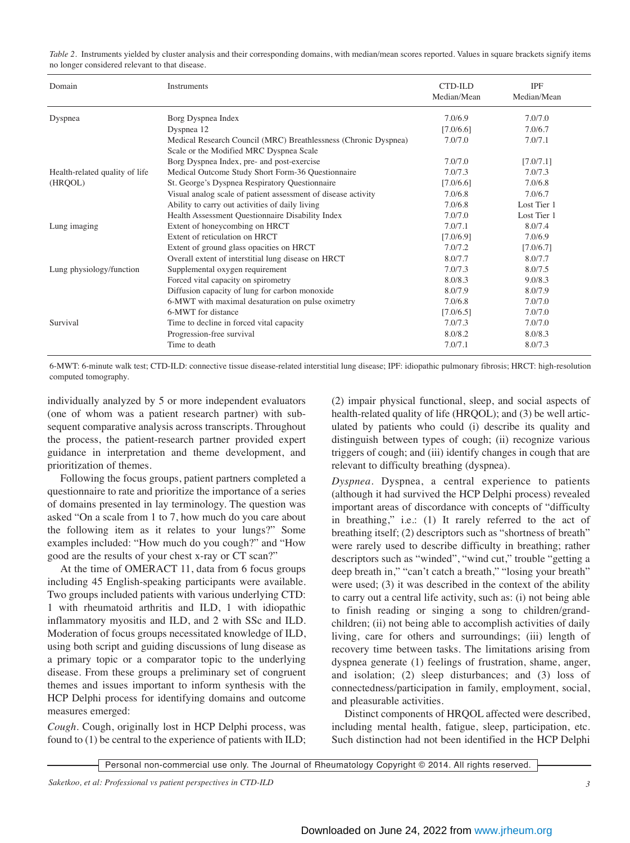| Domain                         | Instruments                                                     | <b>CTD-ILD</b><br>Median/Mean | <b>IPF</b><br>Median/Mean |
|--------------------------------|-----------------------------------------------------------------|-------------------------------|---------------------------|
| Dyspnea                        | Borg Dyspnea Index                                              | 7.0/6.9                       | 7.0/7.0                   |
|                                | Dyspnea 12                                                      | [7.0/6.6]                     | 7.0/6.7                   |
|                                | Medical Research Council (MRC) Breathlessness (Chronic Dyspnea) | 7.0/7.0                       | 7.0/7.1                   |
|                                | Scale or the Modified MRC Dyspnea Scale                         |                               |                           |
|                                | Borg Dyspnea Index, pre- and post-exercise                      | 7.0/7.0                       | [7.0/7.1]                 |
| Health-related quality of life | Medical Outcome Study Short Form-36 Questionnaire               | 7.0/7.3                       | 7.0/7.3                   |
| (HRQOL)                        | St. George's Dyspnea Respiratory Questionnaire                  | [7.0/6.6]                     | 7.0/6.8                   |
|                                | Visual analog scale of patient assessment of disease activity   | 7.0/6.8                       | 7.0/6.7                   |
|                                | Ability to carry out activities of daily living                 | 7.0/6.8                       | Lost Tier 1               |
|                                | Health Assessment Questionnaire Disability Index                | 7.0/7.0                       | Lost Tier 1               |
| Lung imaging                   | Extent of honeycombing on HRCT                                  | 7.0/7.1                       | 8.0/7.4                   |
|                                | Extent of reticulation on HRCT                                  | [7.0/6.9]                     | 7.0/6.9                   |
|                                | Extent of ground glass opacities on HRCT                        | 7.0/7.2                       | [7.0/6.7]                 |
|                                | Overall extent of interstitial lung disease on HRCT             | 8.0/7.7                       | 8.0/7.7                   |
| Lung physiology/function       | Supplemental oxygen requirement                                 | 7.0/7.3                       | 8.0/7.5                   |
|                                | Forced vital capacity on spirometry                             | 8.0/8.3                       | 9.0/8.3                   |
|                                | Diffusion capacity of lung for carbon monoxide                  | 8.0/7.9                       | 8.0/7.9                   |
|                                | 6-MWT with maximal desaturation on pulse oximetry               | 7.0/6.8                       | 7.0/7.0                   |
|                                | 6-MWT for distance                                              | [7.0/6.5]                     | 7.0/7.0                   |
| Survival                       | Time to decline in forced vital capacity                        | 7.0/7.3                       | 7.0/7.0                   |
|                                | Progression-free survival                                       | 8.0/8.2                       | 8.0/8.3                   |
|                                | Time to death                                                   | 7.0/7.1                       | 8.0/7.3                   |

*Table 2.* Instruments yielded by cluster analysis and their corresponding domains, with median/mean scores reported. Values in square brackets signify items no longer considered relevant to that disease.

6-MWT: 6-minute walk test; CTD-ILD: connective tissue disease-related interstitial lung disease; IPF: idiopathic pulmonary fibrosis; HRCT: high-resolution computed tomography.

individually analyzed by 5 or more independent evaluators (one of whom was a patient research partner) with subsequent comparative analysis across transcripts. Throughout the process, the patient-research partner provided expert guidance in interpretation and theme development, and prioritization of themes.

Following the focus groups, patient partners completed a questionnaire to rate and prioritize the importance of a series of domains presented in lay terminology. The question was asked "On a scale from 1 to 7, how much do you care about the following item as it relates to your lungs?" Some examples included: "How much do you cough?" and "How good are the results of your chest x-ray or CT scan?"

At the time of OMERACT 11, data from 6 focus groups including 45 English-speaking participants were available. Two groups included patients with various underlying CTD: 1 with rheumatoid arthritis and ILD, 1 with idiopathic inflammatory myositis and ILD, and 2 with SSc and ILD. Moderation of focus groups necessitated knowledge of ILD, using both script and guiding discussions of lung disease as a primary topic or a comparator topic to the underlying disease. From these groups a preliminary set of congruent themes and issues important to inform synthesis with the HCP Delphi process for identifying domains and outcome measures emerged:

*Cough.* Cough, originally lost in HCP Delphi process, was found to (1) be central to the experience of patients with ILD; (2) impair physical functional, sleep, and social aspects of health-related quality of life (HRQOL); and (3) be well articulated by patients who could (i) describe its quality and distinguish between types of cough; (ii) recognize various triggers of cough; and (iii) identify changes in cough that are relevant to difficulty breathing (dyspnea).

*Dyspnea.* Dyspnea, a central experience to patients (although it had survived the HCP Delphi process) revealed important areas of discordance with concepts of "difficulty in breathing," i.e.: (1) It rarely referred to the act of breathing itself; (2) descriptors such as "shortness of breath" were rarely used to describe difficulty in breathing; rather descriptors such as "winded", "wind cut," trouble "getting a deep breath in," "can't catch a breath," "losing your breath" were used; (3) it was described in the context of the ability to carry out a central life activity, such as: (i) not being able to finish reading or singing a song to children/grandchildren; (ii) not being able to accomplish activities of daily living, care for others and surroundings; (iii) length of recovery time between tasks. The limitations arising from dyspnea generate (1) feelings of frustration, shame, anger, and isolation; (2) sleep disturbances; and (3) loss of connectedness/participation in family, employment, social, and pleasurable activities.

Distinct components of HRQOL affected were described, including mental health, fatigue, sleep, participation, etc. Such distinction had not been identified in the HCP Delphi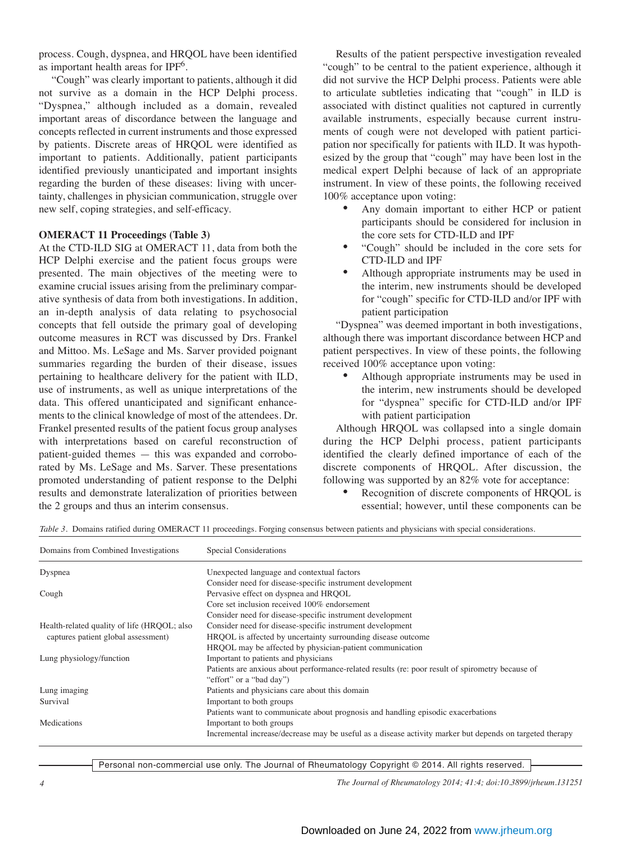process. Cough, dyspnea, and HRQOL have been identified as important health areas for IPF6.

"Cough" was clearly important to patients, although it did not survive as a domain in the HCP Delphi process. "Dyspnea," although included as a domain, revealed important areas of discordance between the language and concepts reflected in current instruments and those expressed by patients. Discrete areas of HRQOL were identified as important to patients. Additionally, patient participants identified previously unanticipated and important insights regarding the burden of these diseases: living with uncertainty, challenges in physician communication, struggle over new self, coping strategies, and self-efficacy.

# **OMERACT 11 Proceedings (Table 3)**

At the CTD-ILD SIG at OMERACT 11, data from both the HCP Delphi exercise and the patient focus groups were presented. The main objectives of the meeting were to examine crucial issues arising from the preliminary comparative synthesis of data from both investigations. In addition, an in-depth analysis of data relating to psychosocial concepts that fell outside the primary goal of developing outcome measures in RCT was discussed by Drs. Frankel and Mittoo. Ms. LeSage and Ms. Sarver provided poignant summaries regarding the burden of their disease, issues pertaining to healthcare delivery for the patient with ILD, use of instruments, as well as unique interpretations of the data. This offered unanticipated and significant enhancements to the clinical knowledge of most of the attendees. Dr. Frankel presented results of the patient focus group analyses with interpretations based on careful reconstruction of patient-guided themes — this was expanded and corroborated by Ms. LeSage and Ms. Sarver. These presentations promoted understanding of patient response to the Delphi results and demonstrate lateralization of priorities between the 2 groups and thus an interim consensus.

Results of the patient perspective investigation revealed "cough" to be central to the patient experience, although it did not survive the HCP Delphi process. Patients were able to articulate subtleties indicating that "cough" in ILD is associated with distinct qualities not captured in currently available instruments, especially because current instruments of cough were not developed with patient participation nor specifically for patients with ILD. It was hypothesized by the group that "cough" may have been lost in the medical expert Delphi because of lack of an appropriate instrument. In view of these points, the following received 100% acceptance upon voting:

- Any domain important to either HCP or patient participants should be considered for inclusion in the core sets for CTD-ILD and IPF
- "Cough" should be included in the core sets for CTD-ILD and IPF
- Although appropriate instruments may be used in the interim, new instruments should be developed for "cough" specific for CTD-ILD and/or IPF with patient participation

"Dyspnea" was deemed important in both investigations, although there was important discordance between HCP and patient perspectives. In view of these points, the following received 100% acceptance upon voting:

Although appropriate instruments may be used in the interim, new instruments should be developed for "dyspnea" specific for CTD-ILD and/or IPF with patient participation

Although HRQOL was collapsed into a single domain during the HCP Delphi process, patient participants identified the clearly defined importance of each of the discrete components of HRQOL. After discussion, the following was supported by an 82% vote for acceptance:

Recognition of discrete components of HRQOL is essential; however, until these components can be

*Table 3.* Domains ratified during OMERACT 11 proceedings. Forging consensus between patients and physicians with special considerations.

| Domains from Combined Investigations                                               | Special Considerations                                                                                   |
|------------------------------------------------------------------------------------|----------------------------------------------------------------------------------------------------------|
| Dyspnea                                                                            | Unexpected language and contextual factors                                                               |
|                                                                                    | Consider need for disease-specific instrument development                                                |
| Cough                                                                              | Pervasive effect on dyspnea and HRQOL                                                                    |
|                                                                                    | Core set inclusion received 100% endorsement                                                             |
|                                                                                    | Consider need for disease-specific instrument development                                                |
| Health-related quality of life (HRQOL; also<br>captures patient global assessment) | Consider need for disease-specific instrument development                                                |
|                                                                                    | HRQOL is affected by uncertainty surrounding disease outcome                                             |
|                                                                                    | HRQOL may be affected by physician-patient communication                                                 |
| Lung physiology/function                                                           | Important to patients and physicians                                                                     |
|                                                                                    | Patients are anxious about performance-related results (re: poor result of spirometry because of         |
|                                                                                    | "effort" or a "bad day")                                                                                 |
| Lung imaging                                                                       | Patients and physicians care about this domain                                                           |
| Survival                                                                           | Important to both groups                                                                                 |
|                                                                                    | Patients want to communicate about prognosis and handling episodic exacerbations                         |
| Medications                                                                        | Important to both groups                                                                                 |
|                                                                                    | Incremental increase/decrease may be useful as a disease activity marker but depends on targeted therapy |

Personal non-commercial use only. The Journal of Rheumatology Copyright © 2014. All rights reserved.

*4 The Journal of Rheumatology 2014; 41:4; doi:10.3899/jrheum.131251*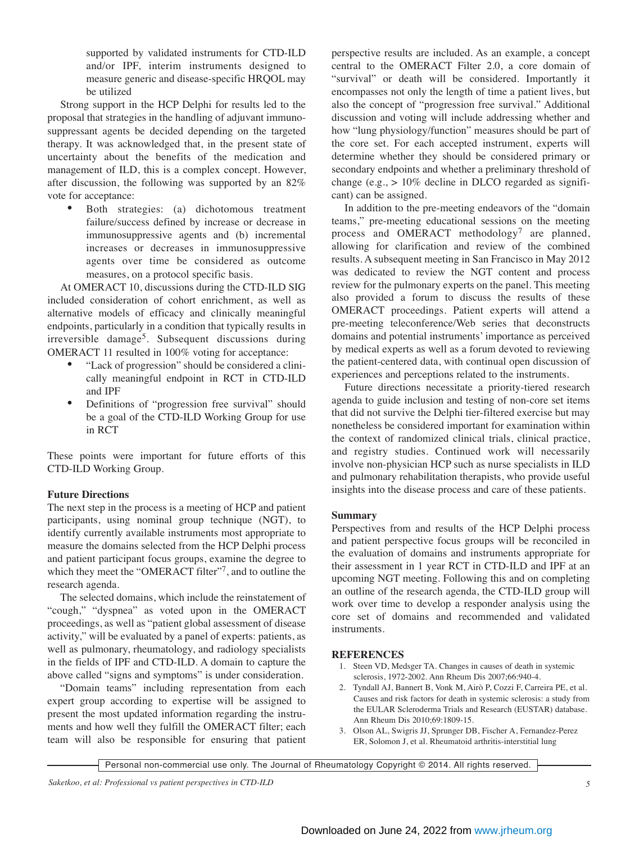supported by validated instruments for CTD-ILD and/or IPF, interim instruments designed to measure generic and disease-specific HRQOL may be utilized

Strong support in the HCP Delphi for results led to the proposal that strategies in the handling of adjuvant immunosuppressant agents be decided depending on the targeted therapy. It was acknowledged that, in the present state of uncertainty about the benefits of the medication and management of ILD, this is a complex concept. However, after discussion, the following was supported by an 82% vote for acceptance:

Both strategies: (a) dichotomous treatment failure/success defined by increase or decrease in immunosuppressive agents and (b) incremental increases or decreases in immunosuppressive agents over time be considered as outcome measures, on a protocol specific basis.

At OMERACT 10, discussions during the CTD-ILD SIG included consideration of cohort enrichment, as well as alternative models of efficacy and clinically meaningful endpoints, particularly in a condition that typically results in  $irreversible damage<sup>5</sup>$ . Subsequent discussions during OMERACT 11 resulted in 100% voting for acceptance:

- "Lack of progression" should be considered a clinically meaningful endpoint in RCT in CTD-ILD and IPF
- Definitions of "progression free survival" should be a goal of the CTD-ILD Working Group for use in RCT

These points were important for future efforts of this CTD-ILD Working Group.

# **Future Directions**

The next step in the process is a meeting of HCP and patient participants, using nominal group technique (NGT), to identify currently available instruments most appropriate to measure the domains selected from the HCP Delphi process and patient participant focus groups, examine the degree to which they meet the "OMERACT filter"<sup>7</sup>, and to outline the research agenda.

The selected domains, which include the reinstatement of "cough," "dyspnea" as voted upon in the OMERACT proceedings, as well as "patient global assessment of disease activity," will be evaluated by a panel of experts: patients, as well as pulmonary, rheumatology, and radiology specialists in the fields of IPF and CTD-ILD. A domain to capture the above called "signs and symptoms" is under consideration.

"Domain teams" including representation from each expert group according to expertise will be assigned to present the most updated information regarding the instruments and how well they fulfill the OMERACT filter; each team will also be responsible for ensuring that patient perspective results are included. As an example, a concept central to the OMERACT Filter 2.0, a core domain of "survival" or death will be considered. Importantly it encompasses not only the length of time a patient lives, but also the concept of "progression free survival." Additional discussion and voting will include addressing whether and how "lung physiology/function" measures should be part of the core set. For each accepted instrument, experts will determine whether they should be considered primary or secondary endpoints and whether a preliminary threshold of change (e.g.,  $> 10\%$  decline in DLCO regarded as significant) can be assigned.

In addition to the pre-meeting endeavors of the "domain teams," pre-meeting educational sessions on the meeting process and OMERACT methodology<sup>7</sup> are planned, allowing for clarification and review of the combined results. A subsequent meeting in San Francisco in May 2012 was dedicated to review the NGT content and process review for the pulmonary experts on the panel. This meeting also provided a forum to discuss the results of these OMERACT proceedings. Patient experts will attend a pre-meeting teleconference/Web series that deconstructs domains and potential instruments' importance as perceived by medical experts as well as a forum devoted to reviewing the patient-centered data, with continual open discussion of experiences and perceptions related to the instruments.

Future directions necessitate a priority-tiered research agenda to guide inclusion and testing of non-core set items that did not survive the Delphi tier-filtered exercise but may nonetheless be considered important for examination within the context of randomized clinical trials, clinical practice, and registry studies. Continued work will necessarily involve non-physician HCP such as nurse specialists in ILD and pulmonary rehabilitation therapists, who provide useful insights into the disease process and care of these patients.

# **Summary**

Perspectives from and results of the HCP Delphi process and patient perspective focus groups will be reconciled in the evaluation of domains and instruments appropriate for their assessment in 1 year RCT in CTD-ILD and IPF at an upcoming NGT meeting. Following this and on completing an outline of the research agenda, the CTD-ILD group will work over time to develop a responder analysis using the core set of domains and recommended and validated instruments.

# **REFERENCES**

- 1. Steen VD, Medsger TA. Changes in causes of death in systemic sclerosis, 1972-2002. Ann Rheum Dis 2007;66:940-4.
- 2. Tyndall AJ, Bannert B, Vonk M, Airò P, Cozzi F, Carreira PE, et al. Causes and risk factors for death in systemic sclerosis: a study from the EULAR Scleroderma Trials and Research (EUSTAR) database. Ann Rheum Dis 2010;69:1809-15.
- 3. Olson AL, Swigris JJ, Sprunger DB, Fischer A, Fernandez-Perez ER, Solomon J, et al. Rheumatoid arthritis-interstitial lung

Personal non-commercial use only. The Journal of Rheumatology Copyright © 2014. All rights reserved.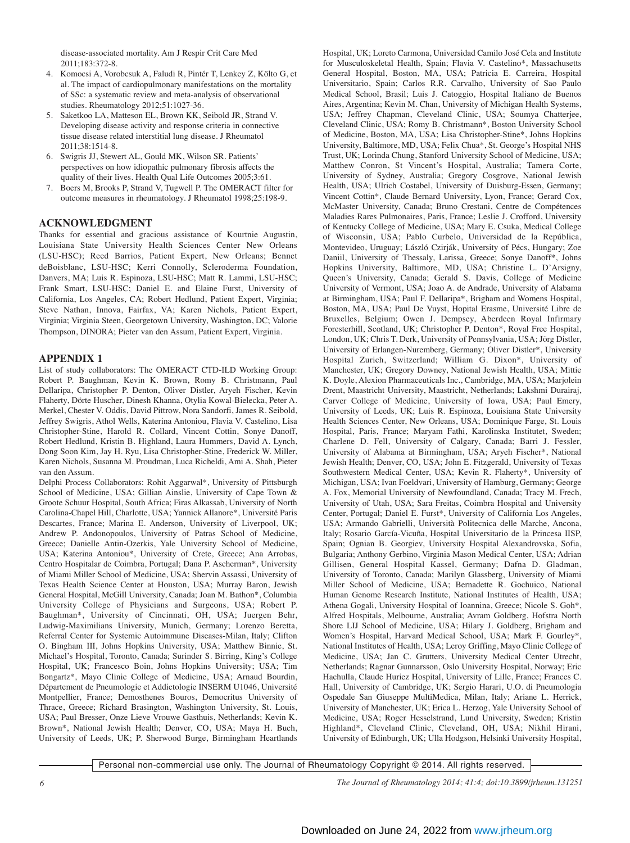disease-associated mortality. Am J Respir Crit Care Med 2011;183:372-8.

- 4. Komocsi A, Vorobcsuk A, Faludi R, Pintér T, Lenkey Z, Költo G, et al. The impact of cardiopulmonary manifestations on the mortality of SSc: a systematic review and meta-analysis of observational studies. Rheumatology 2012;51:1027-36.
- 5. Saketkoo LA, Matteson EL, Brown KK, Seibold JR, Strand V. Developing disease activity and response criteria in connective tissue disease related interstitial lung disease. J Rheumatol 2011;38:1514-8.
- 6. Swigris JJ, Stewert AL, Gould MK, Wilson SR. Patients' perspectives on how idiopathic pulmonary fibrosis affects the quality of their lives. Health Qual Life Outcomes 2005;3:61.
- 7. Boers M, Brooks P, Strand V, Tugwell P. The OMERACT filter for outcome measures in rheumatology. J Rheumatol 1998;25:198-9.

### **ACKNOWLEDGMENT**

Thanks for essential and gracious assistance of Kourtnie Augustin, Louisiana State University Health Sciences Center New Orleans (LSU-HSC); Reed Barrios, Patient Expert, New Orleans; Bennet deBoisblanc, LSU-HSC; Kerri Connolly, Scleroderma Foundation, Danvers, MA; Luis R. Espinoza, LSU-HSC; Matt R. Lammi, LSU-HSC; Frank Smart, LSU-HSC; Daniel E. and Elaine Furst, University of California, Los Angeles, CA; Robert Hedlund, Patient Expert, Virginia; Steve Nathan, Innova, Fairfax, VA; Karen Nichols, Patient Expert, Virginia; Virginia Steen, Georgetown University, Washington, DC; Valorie Thompson, DINORA; Pieter van den Assum, Patient Expert, Virginia.

### **APPENDIX 1**

List of study collaborators: The OMERACT CTD-ILD Working Group: Robert P. Baughman, Kevin K. Brown, Romy B. Christmann, Paul Dellaripa, Christopher P. Denton, Oliver Distler, Aryeh Fischer, Kevin Flaherty, Dörte Huscher, Dinesh Khanna, Otylia Kowal-Bielecka, Peter A. Merkel, Chester V. Oddis, David Pittrow, Nora Sandorfi, James R. Seibold, Jeffrey Swigris, Athol Wells, Katerina Antoniou, Flavia V. Castelino, Lisa Christopher-Stine, Harold R. Collard, Vincent Cottin, Sonye Danoff, Robert Hedlund, Kristin B. Highland, Laura Hummers, David A. Lynch, Dong Soon Kim, Jay H. Ryu, Lisa Christopher-Stine, Frederick W. Miller, Karen Nichols, Susanna M. Proudman, Luca Richeldi, Ami A. Shah, Pieter van den Assum.

Delphi Process Collaborators: Rohit Aggarwal\*, University of Pittsburgh School of Medicine, USA; Gillian Ainslie, University of Cape Town & Groote Schuur Hospital, South Africa; Firas Alkassab, University of North Carolina-Chapel Hill, Charlotte, USA; Yannick Allanore\*, Université Paris Descartes, France; Marina E. Anderson, University of Liverpool, UK; Andrew P. Andonopoulos, University of Patras School of Medicine, Greece; Danielle Antin-Ozerkis, Yale University School of Medicine, USA; Katerina Antoniou\*, University of Crete, Greece; Ana Arrobas, Centro Hospitalar de Coimbra, Portugal; Dana P. Ascherman\*, University of Miami Miller School of Medicine, USA; Shervin Assassi, University of Texas Health Science Center at Houston, USA; Murray Baron, Jewish General Hospital, McGill University, Canada; Joan M. Bathon\*, Columbia University College of Physicians and Surgeons, USA; Robert P. Baughman\*, University of Cincinnati, OH, USA; Juergen Behr, Ludwig-Maximilians University, Munich, Germany; Lorenzo Beretta, Referral Center for Systemic Autoimmune Diseases-Milan, Italy; Clifton O. Bingham III, Johns Hopkins University, USA; Matthew Binnie, St. Michael's Hospital, Toronto, Canada; Surinder S. Birring, King's College Hospital, UK; Francesco Boin, Johns Hopkins University; USA; Tim Bongartz\*, Mayo Clinic College of Medicine, USA; Arnaud Bourdin, Département de Pneumologie et Addictologie INSERM U1046, Université Montpellier, France; Demosthenes Bouros, Democritus University of Thrace, Greece; Richard Brasington, Washington University, St. Louis, USA; Paul Bresser, Onze Lieve Vrouwe Gasthuis, Netherlands; Kevin K. Brown\*, National Jewish Health; Denver, CO, USA; Maya H. Buch, University of Leeds, UK; P. Sherwood Burge, Birmingham Heartlands

Hospital, UK; Loreto Carmona, Universidad Camilo José Cela and Institute for Musculoskeletal Health, Spain; Flavia V. Castelino\*, Massachusetts General Hospital, Boston, MA, USA; Patricia E. Carreira, Hospital Universitario, Spain; Carlos R.R. Carvalho, University of Sao Paulo Medical School, Brasil; Luis J. Catoggio, Hospital Italiano de Buenos Aires, Argentina; Kevin M. Chan, University of Michigan Health Systems, USA; Jeffrey Chapman, Cleveland Clinic, USA; Soumya Chatterjee, Cleveland Clinic, USA; Romy B. Christmann\*, Boston University School of Medicine, Boston, MA, USA; Lisa Christopher-Stine\*, Johns Hopkins University, Baltimore, MD, USA; Felix Chua\*, St. George's Hospital NHS Trust, UK; Lorinda Chung, Stanford University School of Medicine, USA; Matthew Conron, St Vincent's Hospital, Australia; Tamera Corte, University of Sydney, Australia; Gregory Cosgrove, National Jewish Health, USA; Ulrich Costabel, University of Duisburg-Essen, Germany; Vincent Cottin\*, Claude Bernard University, Lyon, France; Gerard Cox, McMaster University, Canada; Bruno Crestani, Centre de Compétences Maladies Rares Pulmonaires, Paris, France; Leslie J. Crofford, University of Kentucky College of Medicine, USA; Mary E. Csuka, Medical College of Wisconsin, USA; Pablo Curbelo, Universidad de la República, Montevideo, Uruguay; László Czirják, University of Pécs, Hungary; Zoe Daniil, University of Thessaly, Larissa, Greece; Sonye Danoff\*, Johns Hopkins University, Baltimore, MD, USA; Christine L. D'Arsigny, Queen's University, Canada; Gerald S. Davis, College of Medicine University of Vermont, USA; Joao A. de Andrade, University of Alabama at Birmingham, USA; Paul F. Dellaripa\*, Brigham and Womens Hospital, Boston, MA, USA; Paul De Vuyst, Hopital Erasme, Université Libre de Bruxelles, Belgium; Owen J. Dempsey, Aberdeen Royal Infirmary Foresterhill, Scotland, UK; Christopher P. Denton\*, Royal Free Hospital, London, UK; Chris T. Derk, University of Pennsylvania, USA; Jörg Distler, University of Erlangen-Nuremberg, Germany; Oliver Distler\*, University Hospital Zurich, Switzerland; William G. Dixon\*, University of Manchester, UK; Gregory Downey, National Jewish Health, USA; Mittie K. Doyle, Alexion Pharmaceuticals Inc., Cambridge, MA, USA; Marjolein Drent, Maastricht University, Maastricht, Netherlands; Lakshmi Durairaj, Carver College of Medicine, University of Iowa, USA; Paul Emery, University of Leeds, UK; Luis R. Espinoza, Louisiana State University Health Sciences Center, New Orleans, USA; Dominique Farge, St. Louis Hospital, Paris, France; Maryam Fathi, Karolinska Institutet, Sweden; Charlene D. Fell, University of Calgary, Canada; Barri J. Fessler, University of Alabama at Birmingham, USA; Aryeh Fischer\*, National Jewish Health; Denver, CO, USA; John E. Fitzgerald, University of Texas Southwestern Medical Center, USA; Kevin R. Flaherty\*, University of Michigan, USA; Ivan Foeldvari, University of Hamburg, Germany; George A. Fox, Memorial University of Newfoundland, Canada; Tracy M. Frech, University of Utah, USA; Sara Freitas, Coimbra Hospital and University Center, Portugal; Daniel E. Furst\*, University of California Los Angeles, USA; Armando Gabrielli, Università Politecnica delle Marche, Ancona, Italy; Rosario García-Vicuña, Hospital Universitario de la Princesa IISP, Spain; Ognian B. Georgiev, University Hospital Alexandrovska, Sofia, Bulgaria; Anthony Gerbino, Virginia Mason Medical Center, USA; Adrian Gillisen, General Hospital Kassel, Germany; Dafna D. Gladman, University of Toronto, Canada; Marilyn Glassberg, University of Miami Miller School of Medicine, USA; Bernadette R. Gochuico, National Human Genome Research Institute, National Institutes of Health, USA; Athena Gogali, University Hospital of Ioannina, Greece; Nicole S. Goh\*, Alfred Hospitals, Melbourne, Australia; Avram Goldberg, Hofstra North Shore LIJ School of Medicine, USA; Hilary J. Goldberg, Brigham and Women's Hospital, Harvard Medical School, USA; Mark F. Gourley\*, National Institutes of Health, USA; Leroy Griffing, Mayo Clinic College of Medicine, USA; Jan C. Grutters, University Medical Center Utrecht, Netherlands; Ragnar Gunnarsson, Oslo University Hospital, Norway; Eric Hachulla, Claude Huriez Hospital, University of Lille, France; Frances C. Hall, University of Cambridge, UK; Sergio Harari, U.O. di Pneumologia Ospedale San Giuseppe MultiMedica, Milan, Italy; Ariane L. Herrick, University of Manchester, UK; Erica L. Herzog, Yale University School of Medicine, USA; Roger Hesselstrand, Lund University, Sweden; Kristin Highland\*, Cleveland Clinic, Cleveland, OH, USA; Nikhil Hirani, University of Edinburgh, UK; Ulla Hodgson, Helsinki University Hospital,

Personal non-commercial use only. The Journal of Rheumatology Copyright © 2014. All rights reserved.

*6 The Journal of Rheumatology 2014; 41:4; doi:10.3899/jrheum.131251*